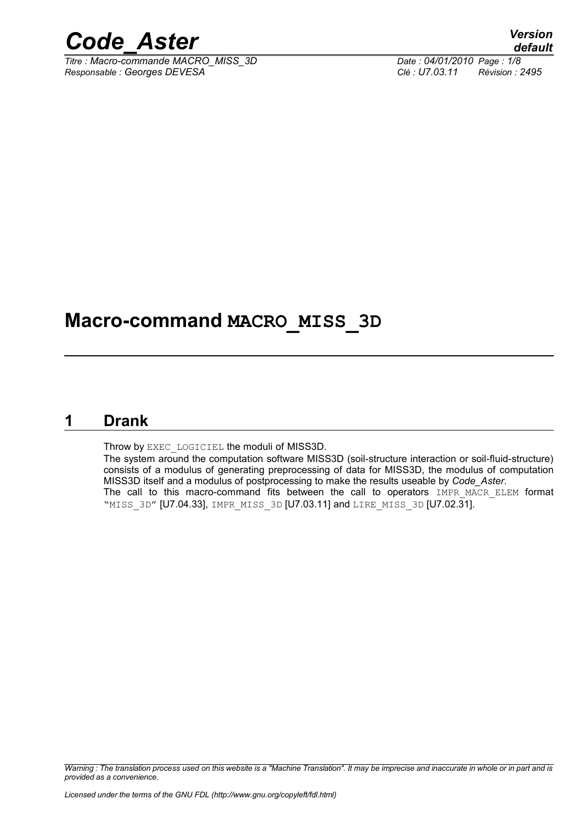

*Titre : Macro-commande MACRO\_MISS\_3D Date : 04/01/2010 Page : 1/8 Responsable : Georges DEVESA Clé : U7.03.11 Révision : 2495*

### **Macro-command MACRO\_MISS\_3D**

#### **1 Drank**

Throw by EXEC\_LOGICIEL the moduli of MISS3D.

The system around the computation software MISS3D (soil-structure interaction or soil-fluid-structure) consists of a modulus of generating preprocessing of data for MISS3D, the modulus of computation MISS3D itself and a modulus of postprocessing to make the results useable by *Code\_Aster*. The call to this macro-command fits between the call to operators IMPR\_MACR\_ELEM format "MISS\_3D" [U7.04.33], IMPR\_MISS\_3D [U7.03.11] and LIRE\_MISS\_3D [U7.02.31].

*Warning : The translation process used on this website is a "Machine Translation". It may be imprecise and inaccurate in whole or in part and is provided as a convenience.*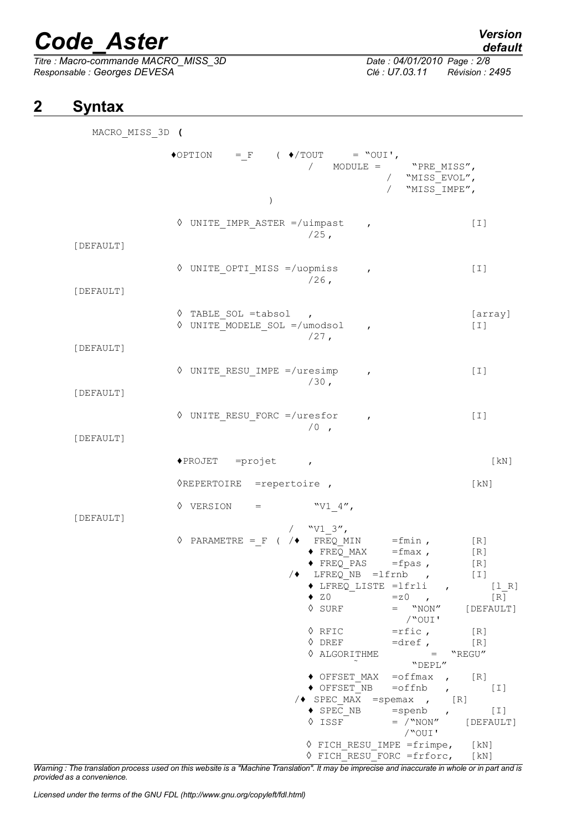*Titre : Macro-commande MACRO\_MISS\_3D Date : 04/01/2010 Page : 2/8 Responsable : Georges DEVESA Clé : U7.03.11 Révision : 2495*

## *default*

#### **2 Syntax**

| MACRO MISS 3D ( |                                                                                                                                                                                                                                                                                                                                                                                                                                                                                                                                                                   |                                                                  |
|-----------------|-------------------------------------------------------------------------------------------------------------------------------------------------------------------------------------------------------------------------------------------------------------------------------------------------------------------------------------------------------------------------------------------------------------------------------------------------------------------------------------------------------------------------------------------------------------------|------------------------------------------------------------------|
|                 | $\blacklozenge\texttt{OPTION} \qquad = \texttt{F} \qquad (\blacklozenge / \texttt{TOUT} \qquad = \texttt{"OUT'},$<br>/ MODULE = "PRE MISS",<br>/ "MISS EVOL",<br>/ "MISS IMPE",                                                                                                                                                                                                                                                                                                                                                                                   |                                                                  |
|                 | $\mathcal{E}$                                                                                                                                                                                                                                                                                                                                                                                                                                                                                                                                                     |                                                                  |
| [DEFAULT]       | $\Diamond$ UNITE IMPR ASTER =/uimpast,<br>$/25$ ,                                                                                                                                                                                                                                                                                                                                                                                                                                                                                                                 | $[1]$                                                            |
| [DEFAULT]       | ♦ UNITE OPTI MISS =/uopmiss<br>$\mathbf{r}$<br>$/26$ ,                                                                                                                                                                                                                                                                                                                                                                                                                                                                                                            | $[1]$                                                            |
| [DEFAULT]       | $\Diamond$ TABLE SOL =tabsol,<br>$\Diamond$ UNITE MODELE SOL =/umodsol<br>$\mathbf{r}$<br>$/27$ ,                                                                                                                                                                                                                                                                                                                                                                                                                                                                 | [array]<br>$[1]$                                                 |
| [DEFAULT]       | $\Diamond$ UNITE RESU IMPE =/uresimp<br>$\mathbf{r}$<br>$/30$ ,                                                                                                                                                                                                                                                                                                                                                                                                                                                                                                   | $[1]$                                                            |
| [DEFAULT]       | $\Diamond$ UNITE RESU FORC =/uresfor ,<br>$/0$ ,                                                                                                                                                                                                                                                                                                                                                                                                                                                                                                                  | $[1]$                                                            |
|                 | $\triangle$ PROJET = projet ,                                                                                                                                                                                                                                                                                                                                                                                                                                                                                                                                     | [KN]                                                             |
|                 | <b>OREPERTOIRE</b> = repertoire,                                                                                                                                                                                                                                                                                                                                                                                                                                                                                                                                  | [KN]                                                             |
| [DEFAULT]       | $\lozenge \text{ VERSION} = \text{ WVI } 4'',$                                                                                                                                                                                                                                                                                                                                                                                                                                                                                                                    |                                                                  |
|                 | / $"V1 3",$<br>$\Diamond$ PARAMETRE = F ( / $\blacklozenge$ FREQ MIN = fmin,<br>$\blacklozenge$ FREQ_MAX<br>$=f$ max,<br>◆ FREQ PAS<br>$=fpas,$<br>$\sqrt{\bullet}$ LFREQ NB = lfrnb ,<br>$\triangle$ LFREQ LISTE =1frli ,<br>$\bullet$ ZO<br>$=z0$ ,<br>$=$ "NON"<br>$\Diamond$ SURF<br>/"OUI'<br>$\Diamond$ RFIC<br>$=rfic$ , $[R]$<br>$\lozenge$ DREF<br>$=$ dref, $[R]$<br>♦ ALGORITHME<br>$=$ "REGU"<br>"DEPL"<br>$\bullet$ OFFSET MAX = of fmax , [R]<br>$\blacklozenge$ OFFSET NB<br>$=$ offnb<br>$\mathbf{r}$<br>$\sqrt{\bullet}$ SPEC MAX = spemax , [R] | [R]<br>[R]<br>[R]<br>$[1]$<br>[1 R]<br>[R]<br>[DEFAULT]<br>$[1]$ |
|                 | $\blacklozenge$ SPEC NB<br>$=$ spenb<br>$\mathbf{r}$<br>$\Diamond$ ISSF<br>$=$ $/$ "NON" [DEFAULT]<br>/"OUI'                                                                                                                                                                                                                                                                                                                                                                                                                                                      | $[\;1\;]$                                                        |
|                 | $\Diamond$ FICH RESU IMPE = frimpe, [kN]                                                                                                                                                                                                                                                                                                                                                                                                                                                                                                                          |                                                                  |

*Warning : The translation process used on this website is a "Machine Translation". It may be imprecise and inaccurate in whole or in part and is provided as a convenience.*

◊ FICH\_RESU\_FORC =frforc, [kN]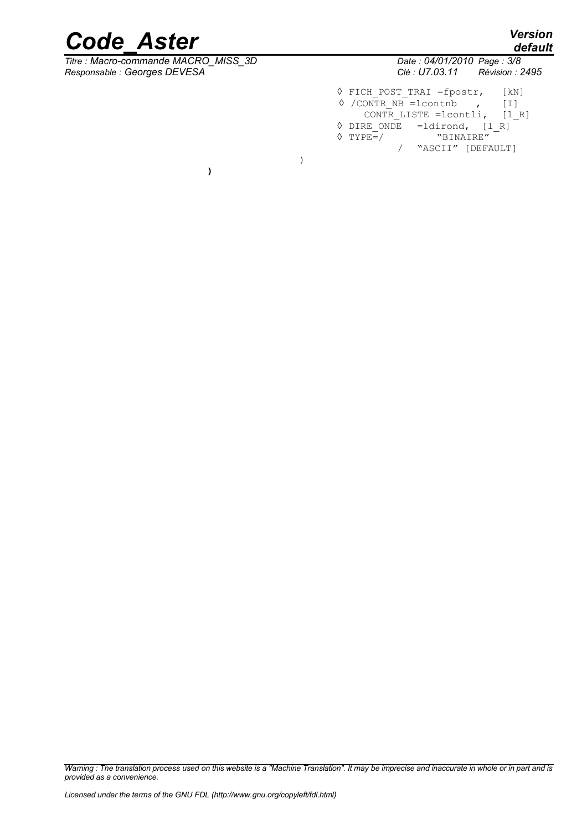$\overline{T}$ itre : Macro-commande MACRO\_MISS\_3D

**)**

|              | .   .<br>default |
|--------------|------------------|
| 7 Paga · 3/8 |                  |

*Responsable : Georges DEVESA Clé : U7.03.11 Révision : 2495* ◊ FICH\_POST\_TRAI =fpostr, [kN]  $\sqrt{$  /CONTR NB = lcontnb , [I] CONTR LISTE =lcontli, [l\_R]  $\sqrt[6]{\text{DIRE}}$  ONDE =ldirond, [1\_R]<br>  $\sqrt[6]{\text{TYPE}}$  =/ "BINAIRE"

/ "ASCII" [DEFAULT]

)

 $\sqrt{TYPE=}/$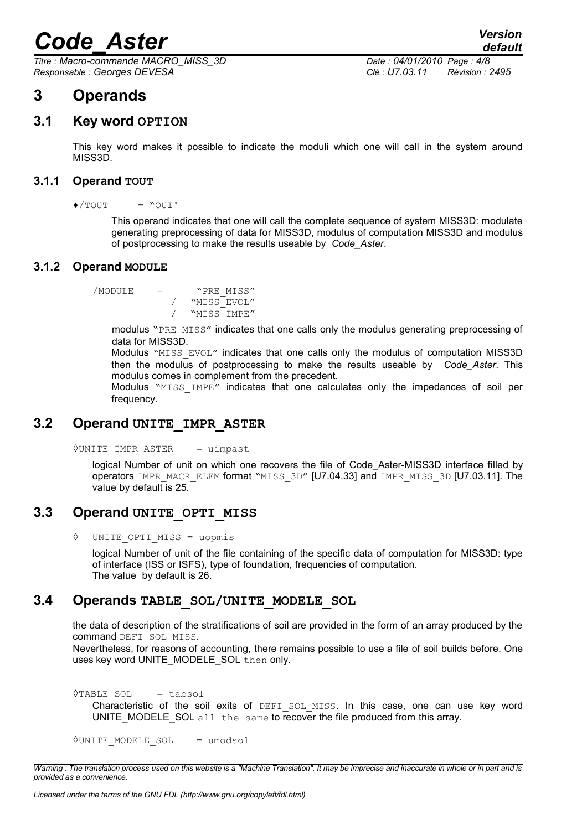*Titre : Macro-commande MACRO\_MISS\_3D Date : 04/01/2010 Page : 4/8 Responsable : Georges DEVESA Clé : U7.03.11 Révision : 2495*

### **3 Operands**

#### **3.1 Key word OPTION**

This key word makes it possible to indicate the moduli which one will call in the system around MISS3D.

#### **3.1.1 Operand TOUT**

 $\triangle$ /TOUT = "OUI'

This operand indicates that one will call the complete sequence of system MISS3D: modulate generating preprocessing of data for MISS3D, modulus of computation MISS3D and modulus of postprocessing to make the results useable by *Code\_Aster*.

#### **3.1.2 Operand MODULE**

/MODULE = "PRE\_MISS" "MISS EVOL" / "MISS\_IMPE"

> modulus "PRE\_MISS" indicates that one calls only the modulus generating preprocessing of data for MISS3D.

> Modulus "MISS EVOL" indicates that one calls only the modulus of computation MISS3D then the modulus of postprocessing to make the results useable by *Code\_Aster*. This modulus comes in complement from the precedent.

> Modulus "MISS IMPE" indicates that one calculates only the impedances of soil per frequency.

#### **3.2 Operand UNITE\_IMPR\_ASTER**

◊UNITE\_IMPR\_ASTER = uimpast

logical Number of unit on which one recovers the file of Code\_Aster-MISS3D interface filled by operators IMPR\_MACR\_ELEM format "MISS\_3D" [U7.04.33] and IMPR\_MISS\_3D [U7.03.11]. The value by default is 25.

#### **3.3 Operand UNITE\_OPTI\_MISS**

◊ UNITE\_OPTI\_MISS = uopmis

logical Number of unit of the file containing of the specific data of computation for MISS3D: type of interface (ISS or ISFS), type of foundation, frequencies of computation. The value by default is 26.

#### **3.4 Operands TABLE\_SOL/UNITE\_MODELE\_SOL**

the data of description of the stratifications of soil are provided in the form of an array produced by the command DEFI\_SOL\_MISS.

Nevertheless, for reasons of accounting, there remains possible to use a file of soil builds before. One uses key word UNITE\_MODELE\_SOL then only.

◊TABLE\_SOL = tabsol Characteristic of the soil exits of DEFI SOL MISS. In this case, one can use key word UNITE\_MODELE\_SOL all the same to recover the file produced from this array.

```
◊UNITE_MODELE_SOL = umodsol
```
*Warning : The translation process used on this website is a "Machine Translation". It may be imprecise and inaccurate in whole or in part and is provided as a convenience.*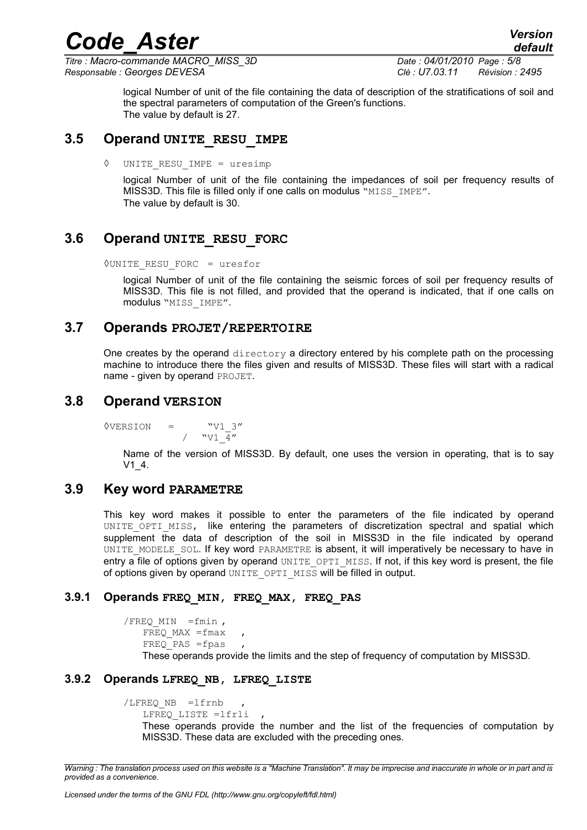*Titre : Macro-commande MACRO\_MISS\_3D Date : 04/01/2010 Page : 5/8 Responsable : Georges DEVESA Clé : U7.03.11 Révision : 2495*

logical Number of unit of the file containing the data of description of the stratifications of soil and the spectral parameters of computation of the Green's functions. The value by default is 27.

#### **3.5 Operand UNITE\_RESU\_IMPE**

◊ UNITE\_RESU\_IMPE = uresimp

logical Number of unit of the file containing the impedances of soil per frequency results of MISS3D. This file is filled only if one calls on modulus "MISS IMPE". The value by default is 30.

#### **3.6 Operand UNITE\_RESU\_FORC**

◊UNITE\_RESU\_FORC = uresfor

logical Number of unit of the file containing the seismic forces of soil per frequency results of MISS3D. This file is not filled, and provided that the operand is indicated, that if one calls on modulus "MISS\_IMPE".

#### **3.7 Operands PROJET/REPERTOIRE**

One creates by the operand  $\text{directory}$  a directory entered by his complete path on the processing machine to introduce there the files given and results of MISS3D. These files will start with a radical name - given by operand PROJET.

#### **3.8 Operand VERSION**

 $\sqrt{VERSION}$  =  $\sqrt{V1}$  3" /  $\sqrt{V1} \frac{1}{4}$ "

> Name of the version of MISS3D. By default, one uses the version in operating, that is to say V1\_4.

#### **3.9 Key word PARAMETRE**

This key word makes it possible to enter the parameters of the file indicated by operand UNITE OPTI MISS, like entering the parameters of discretization spectral and spatial which supplement the data of description of the soil in MISS3D in the file indicated by operand UNITE\_MODELE\_SOL. If key word PARAMETRE is absent, it will imperatively be necessary to have in entry a file of options given by operand  $UNITE$   $OPT$   $MISS$ . If not, if this key word is present, the file of options given by operand UNITE\_OPTI\_MISS will be filled in output.

#### **3.9.1 Operands FREQ\_MIN, FREQ\_MAX, FREQ\_PAS**

 $/$ FREQ MIN =fmin ,  $FREO$  MAX =fmax  $FREQ$  PAS =fpas These operands provide the limits and the step of frequency of computation by MISS3D.

#### **3.9.2 Operands LFREQ\_NB, LFREQ\_LISTE**

```
/LFREQ_NB =lfrnb , 
LFREQ_LISTE =lfrli ,
```
These operands provide the number and the list of the frequencies of computation by MISS3D. These data are excluded with the preceding ones.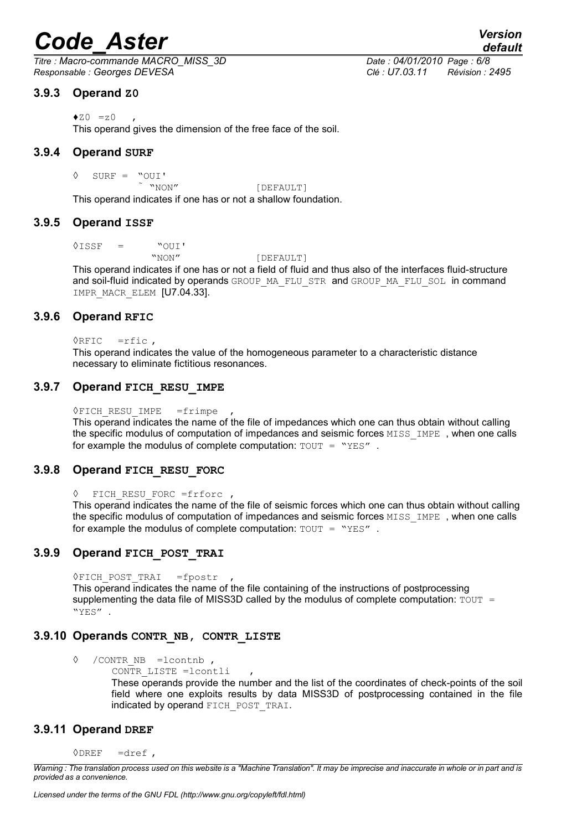*Titre : Macro-commande MACRO\_MISS\_3D Date : 04/01/2010 Page : 6/8 Responsable : Georges DEVESA Clé : U7.03.11 Révision : 2495*

#### **3.9.3 Operand Z0**

 $\triangle$ z0 =z0

This operand gives the dimension of the free face of the soil.

#### **3.9.4 Operand SURF**

 $\begin{array}{ccccc} \Diamond & \texttt{SURF} & = & \texttt{"OUT'} & \\ & \texttt{"NON''} & & \\ \end{array}$ 

[DEFAULT]

This operand indicates if one has or not a shallow foundation.

#### **3.9.5 Operand ISSF**

 $\Diamond$ ISSF = "OUI'

"NON" [DEFAULT]

This operand indicates if one has or not a field of fluid and thus also of the interfaces fluid-structure and soil-fluid indicated by operands GROUP\_MA\_FLU\_STR and GROUP\_MA\_FLU\_SOL in command IMPR MACR ELEM [U7.04.33].

#### **3.9.6 Operand RFIC**

 $\Diamond$ RFIC =rfic,

This operand indicates the value of the homogeneous parameter to a characteristic distance necessary to eliminate fictitious resonances.

#### **3.9.7 Operand FICH\_RESU\_IMPE**

◊FICH\_RESU\_IMPE =frimpe ,

This operand indicates the name of the file of impedances which one can thus obtain without calling the specific modulus of computation of impedances and seismic forces MISS IMPE, when one calls for example the modulus of complete computation:  $TOUT = "YES"$ .

#### **3.9.8 Operand FICH\_RESU\_FORC**

```
◊ FICH_RESU_FORC =frforc ,
```
This operand indicates the name of the file of seismic forces which one can thus obtain without calling the specific modulus of computation of impedances and seismic forces MISS IMPE, when one calls for example the modulus of complete computation:  $TOUT = "YES"$ .

#### **3.9.9 Operand FICH\_POST\_TRAI**

◊FICH\_POST\_TRAI =fpostr ,

This operand indicates the name of the file containing of the instructions of postprocessing supplementing the data file of MISS3D called by the modulus of complete computation:  $TOUT =$ "YES" .

#### **3.9.10 Operands CONTR\_NB, CONTR\_LISTE**

- ◊ /CONTR\_NB =lcontnb ,
	- CONTR LISTE =lcontli

These operands provide the number and the list of the coordinates of check-points of the soil field where one exploits results by data MISS3D of postprocessing contained in the file indicated by operand FICH\_POST\_TRAI.

#### **3.9.11 Operand DREF**

 $ØDREF =dref$ .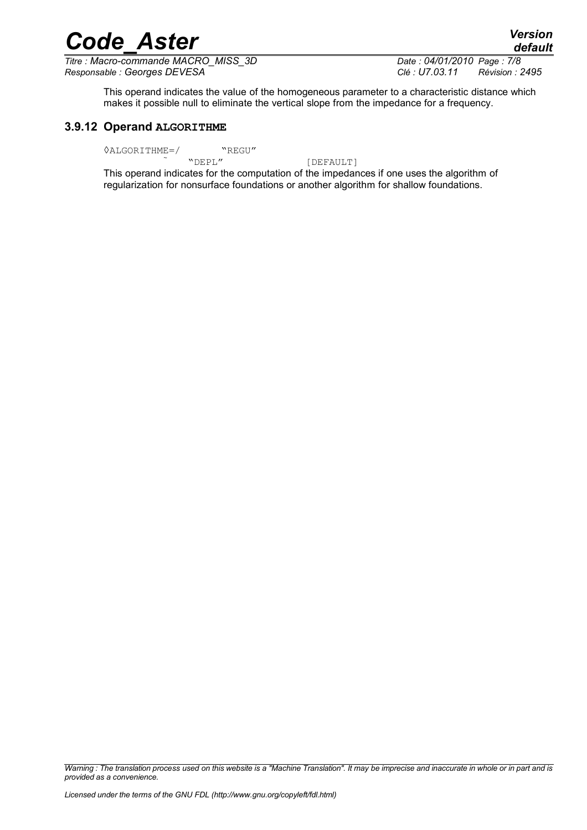*Titre : Macro-commande MACRO\_MISS\_3D Date : 04/01/2010 Page : 7/8 Responsable : Georges DEVESA Clé : U7.03.11 Révision : 2495*

This operand indicates the value of the homogeneous parameter to a characteristic distance which makes it possible null to eliminate the vertical slope from the impedance for a frequency.

#### **3.9.12 Operand ALGORITHME**

 $\sqrt{\text{ALGORITHME}} = / \sqrt{\text{NEPL} \cdot \text{NEGU}}$ 

[DEFAULT]

This operand indicates for the computation of the impedances if one uses the algorithm of regularization for nonsurface foundations or another algorithm for shallow foundations.